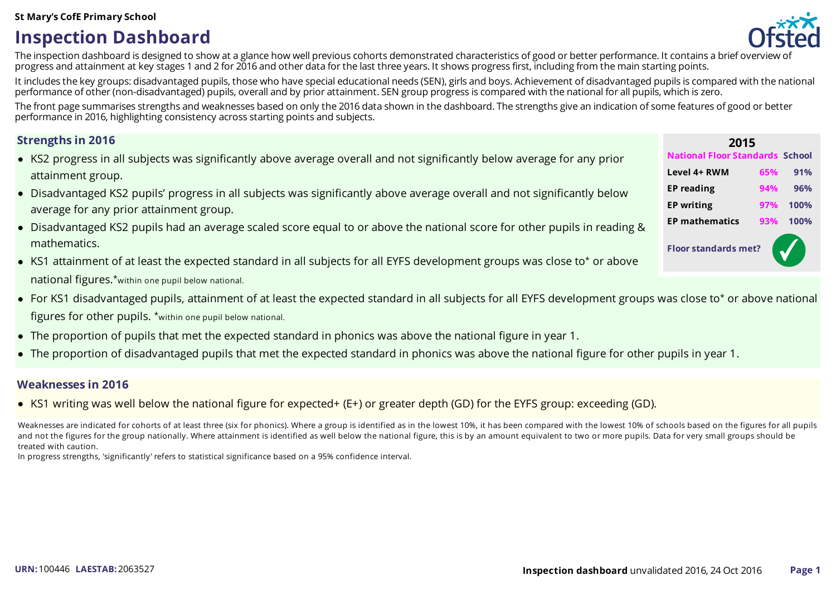#### **St Mary's CofE Primary School**

# **Inspection Dashboard**



The inspection dashboard is designed to show at a glance how well previous cohorts demonstrated characteristics of good or better performance. It contains a brief overview of progress and attainment at key stages 1 and 2 for 2016 and other data for the last three years. It shows progressfirst, including from the main starting points.

It includes the key groups: disadvantaged pupils, those who have special educational needs (SEN), girls and boys. Achievement of disadvantaged pupils is compared with the national performance of other (non-disadvantaged) pupils, overall and by prior attainment. SEN group progressiscompared with the national for all pupils, which iszero.

The front page summarises strengths and weaknesses based on only the 2016 data shown in the dashboard. The strengths give an indication of some features of good or better performance in 2016, highlighting consistency acrossstarting points and subjects.

- KS2 progress in all subjects was significantly above average overall and not significantly below average for any prior attainment group.
- Disadvantaged KS2 pupils' progress in all subjects was significantly above average overall and not significantly below average for any prior attainment group.
- Disadvantaged KS2 pupils had an average scaled score equal to or above the national score for other pupils in reading & mathematics.
- KS1 attainment of at least the expected standard in all subjects for all EYFS development groups was close to\* or above national figures.\*within one pupil below national.
- For KS1 disadvantaged pupils, attainment of at least the expected standard in all subjects for all EYFS development groups was close to\* or above national figures for other pupils. \*within one pupil below national.
- The proportion of pupils that met the expected standard in phonics was above the national figure in year 1.
- The proportion of disadvantaged pupils that met the expected standard in phonics was above the national figure for other pupils in year 1.

### **Weaknesses in 2016**

• KS1 writing was well below the national figure for expected+ (E+) or greater depth (GD) for the EYFS group: exceeding (GD).

Weaknesses are indicated for cohorts of at least three (six for phonics). Where a group is identified as in the lowest 10%, it has been compared with the lowest 10% of schools based on the figures for all pupils and not the figures for the group nationally. Where attainment is identified as well below the national figure, this is by an amount equivalent to two or more pupils. Data for very small groups should be treated with caution.

In progress strengths, 'significantly' refers to statistical significance based on a 95% confidence interval.

| <b>Strengths in 2016</b>                                                                                                  | 2015                                 |     |      |
|---------------------------------------------------------------------------------------------------------------------------|--------------------------------------|-----|------|
| • KS2 progress in all subjects was significantly above average overall and not significantly below average for any prior  | School<br><b>National Floor Stan</b> |     |      |
| attainment group.                                                                                                         | Level 4+ RWM                         | 65% | 91%  |
| • Disadvantaged KS2 pupils' progress in all subjects was significantly above average overall and not significantly below  | <b>EP</b> reading                    | 94% | 96%  |
| average for any prior attainment group.                                                                                   | <b>EP writing</b>                    | 97% | 100% |
| • Disadvantaged KS2 pupils had an average scaled score equal to or above the national score for other pupils in reading & | <b>EP mathematics</b>                | 93% | 100% |
| mathematics.                                                                                                              | <b>Floor standards met?</b>          |     |      |
| • KS1 attainment of at least the expected standard in all subjects for all EYFS development groups was close to* or above |                                      |     |      |
|                                                                                                                           |                                      |     |      |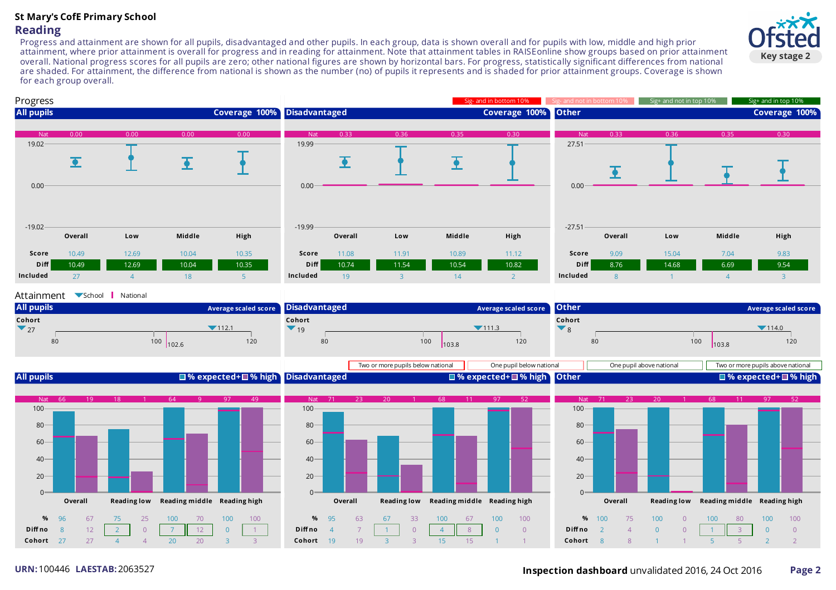# **St Mary's CofE Primary School Reading**

Progress and attainment are shown for all pupils, disadvantaged and other pupils. In each group, data is shown overall and for pupils with low, middle and high prior attainment, where prior attainment is overall for progress and in reading for attainment. Note that attainment tables in RAISEonline show groups based on prior attainment overall. National progress scores for all pupils are zero; other national figures are shown by horizontal bars. For progress, statistically significant differences from national are shaded. For attainment, the difference from national is shown as the number (no) of pupils it represents and is shaded for prior attainment groups. Coverage is shown for each group overall.



#### Attainment School National





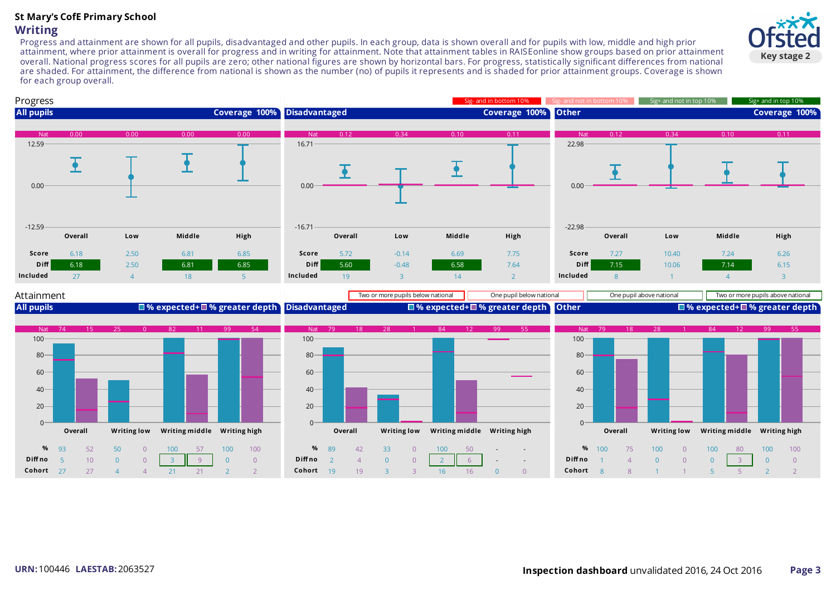# **St Mary's CofE Primary School Writing**

Progress and attainment are shown for all pupils, disadvantaged and other pupils. In each group, data is shown overall and for pupils with low, middle and high prior attainment, where prior attainment is overall for progress and in writing for attainment. Note that attainment tables in RAISEonline show groups based on prior attainment overall. National progress scores for all pupils are zero; other national figures are shown by horizontal bars. For progress, statistically significant differences from national are shaded. For attainment, the difference from national is shown as the number (no) of pupils it represents and is shaded for prior attainment groups. Coverage is shown for each group overall.





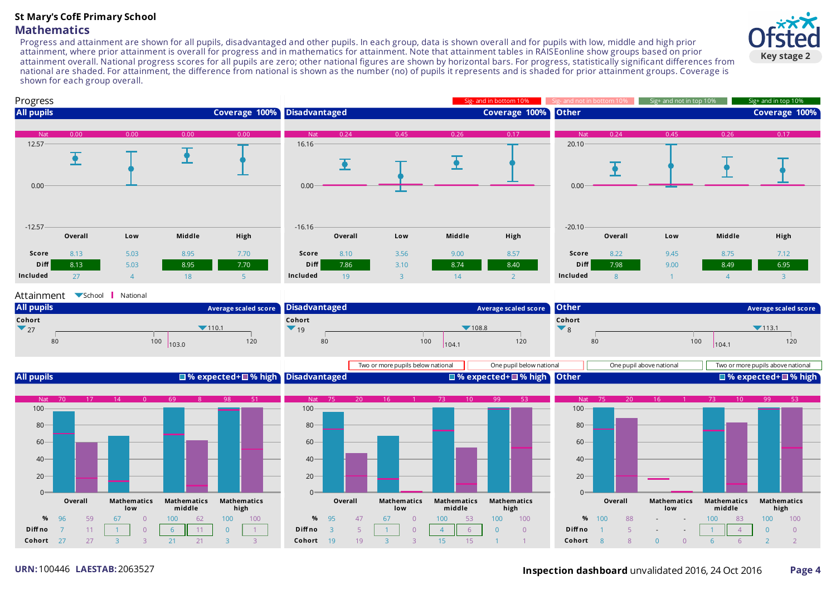## **St Mary's CofE Primary School Mathematics**

Progress and attainment are shown for all pupils, disadvantaged and other pupils. In each group, data is shown overall and for pupils with low, middle and high prior attainment, where prior attainment is overall for progress and in mathematics for attainment. Note that attainment tables in RAISEonline show groups based on prior attainment overall. National progress scores for all pupils are zero; other national figures are shown by horizontal bars. For progress, statistically significant differences from national are shaded. For attainment, the difference from national is shown as the number (no) of pupils it represents and is shaded for prior attainment groups. Coverage is shown for each group overall.



#### **All pupils Disadvantaged Other** 80 100 120 80 100 120 80 100 120  $7110.1$  $103.0$ **Average scaled score Cohort**  $\blacktriangledown$  27  $7108.8$ 104.1 **Average scaled score Cohort**  $\blacktriangledown$  19  $7113.1$  $104.1$ **Average scaled score Cohort**  $\blacktriangledown_8$



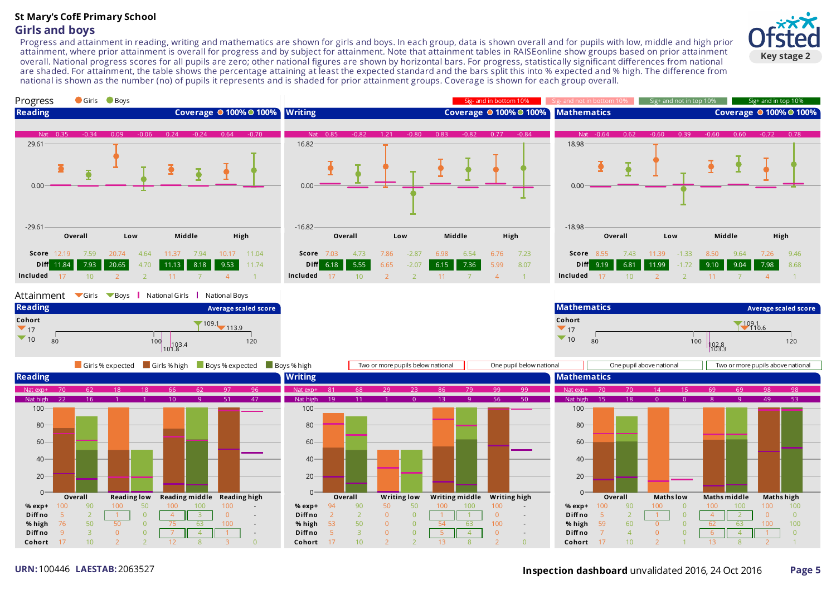# **St Mary's CofE Primary School Girls and boys**

Progress and attainment in reading, writing and mathematics are shown for girls and boys. In each group, data is shown overall and for pupils with low, middle and high prior attainment, where prior attainment is overall for progress and by subject for attainment. Note that attainment tables in RAISEonline show groups based on prior attainment overall. National progress scores for all pupils are zero; other national figures are shown by horizontal bars. For progress, statistically significant differences from national are shaded. For attainment, the table shows the percentage attaining at least the expected standard and the bars split this into % expected and % high. The difference from national is shown as the number (no) of pupils it represents and is shaded for prior attainment groups. Coverage is shown for each group overall.



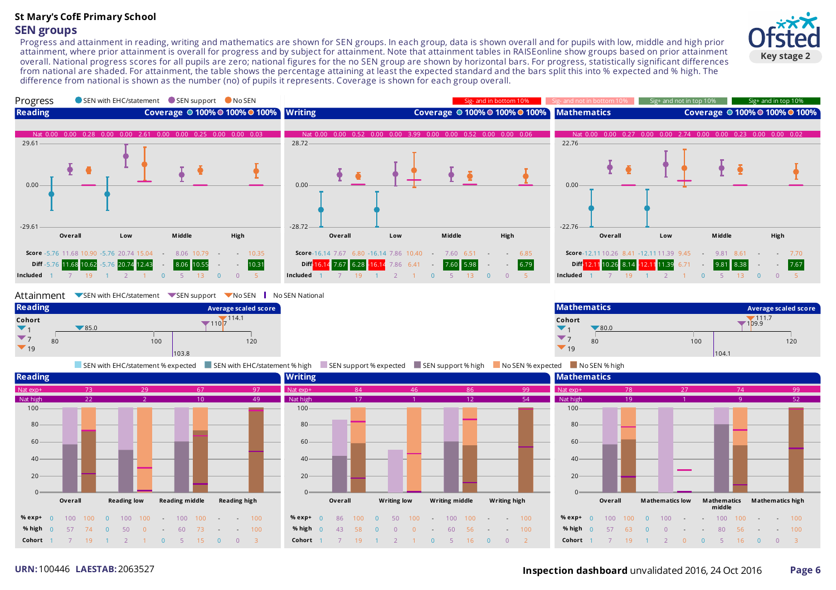### **St Mary's CofE Primary School SEN groups**

Progress and attainment in reading, writing and mathematics are shown for SEN groups. In each group, data is shown overall and for pupils with low, middle and high prior attainment, where prior attainment is overall for progress and by subject for attainment. Note that attainment tables in RAISEonline show groups based on prior attainment overall. National progress scores for all pupils are zero; national figures for the no SEN group are shown by horizontal bars. For progress, statistically significant differences from national are shaded. For attainment, the table shows the percentage attaining at least the expected standard and the bars split this into % expected and % high. The difference from national is shown as the number (no) of pupils it represents. Coverage is shown for each group overall.





#### Attainment SEN with EHC/statement SEN support No SEN No SEN National



80 100 120 80 100 120  $\blacktriangledown$  80.0 1<sub>09.9</sub> 104.1 **Average scaled score Cohort**  $\blacktriangledown_1$  $\blacktriangledown$  7  $\blacktriangledown$ <sub>19</sub>

SEN with EHC/statement %expected SEN with EHC/statement % high SEN support %expected SEN support % high No SEN %expected No SEN % high

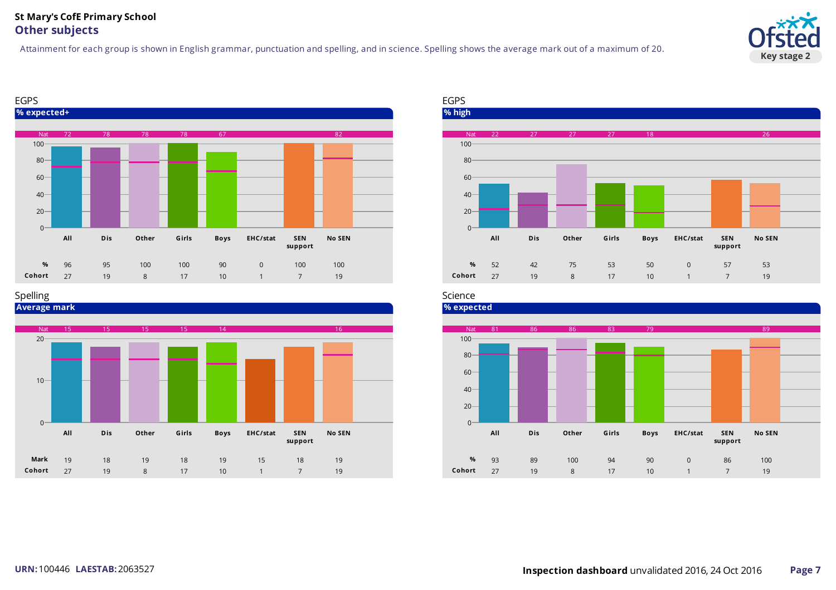### **St Mary's CofE Primary School Other subjects**

Attainment for each group is shown in English grammar, punctuation and spelling, and in science. Spelling shows the average mark out of a maximum of 20.





#### Spelling





#### Science

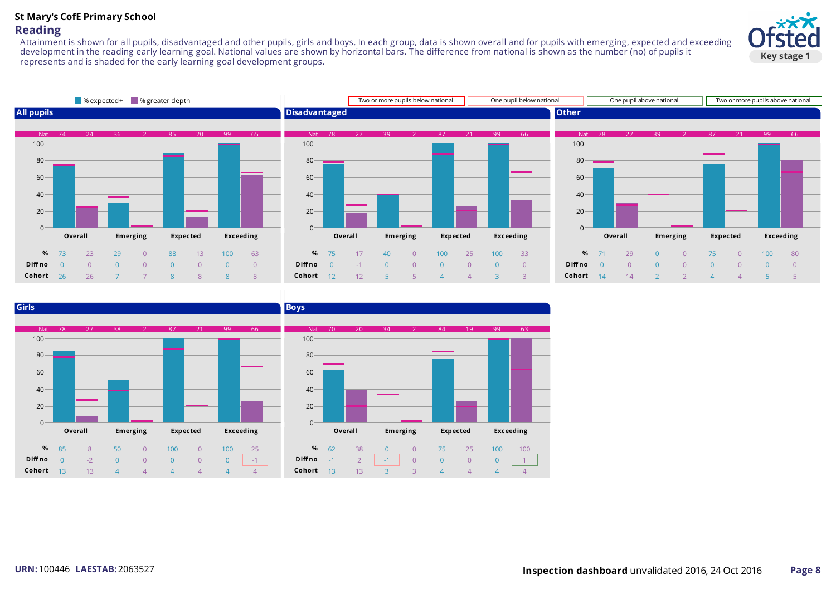## **St Mary's CofE Primary School Reading**

Attainment is shown for all pupils, disadvantaged and other pupils, girls and boys. In each group, data is shown overall and for pupils with emerging, expected and exceeding development in the reading early learning goal. National values are shown by horizontal bars. The difference from national is shown as the number (no) of pupils it represents and is shaded for the early learning goal development groups.





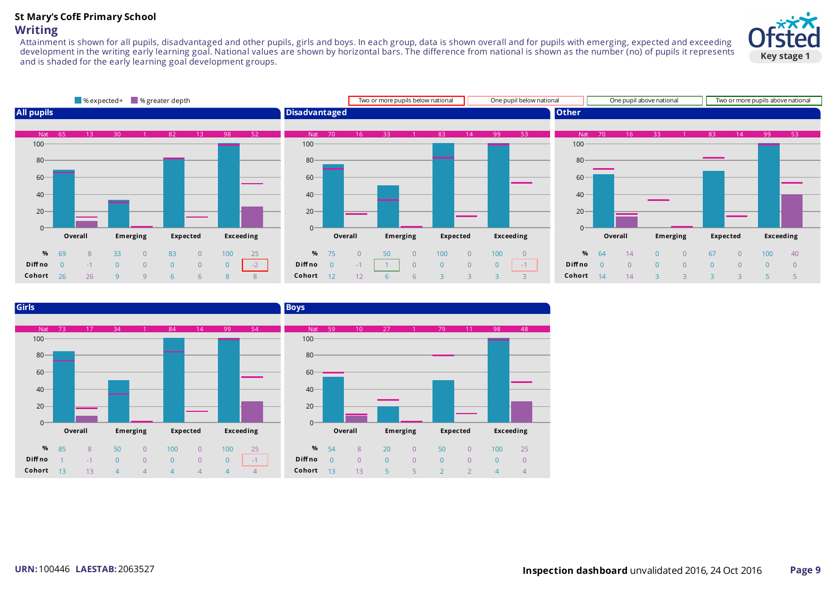#### **St Mary's CofE Primary School Writing**

Attainment is shown for all pupils, disadvantaged and other pupils, girls and boys. In each group, data is shown overall and for pupils with emerging, expected and exceeding development in the writing early learning goal. National values are shown by horizontal bars. The difference from national is shown as the number (no) of pupils it represents and is shaded for the early learning goal development groups.





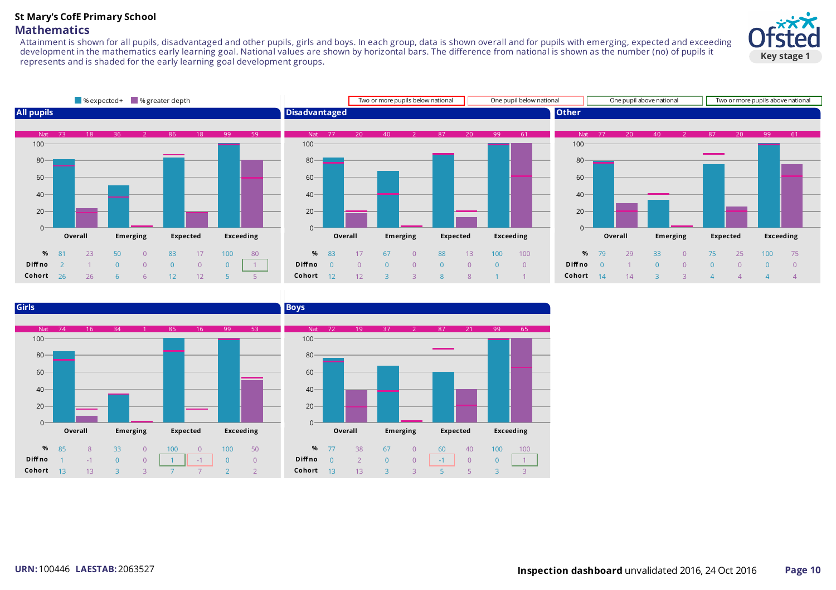#### **St Mary's CofE Primary School Mathematics**

Attainment is shown for all pupils, disadvantaged and other pupils, girls and boys. In each group, data is shown overall and for pupils with emerging, expected and exceeding development in the mathematics early learning goal. National values are shown by horizontal bars. The difference from national is shown as the number (no) of pupils it represents and is shaded for the early learning goal development groups.





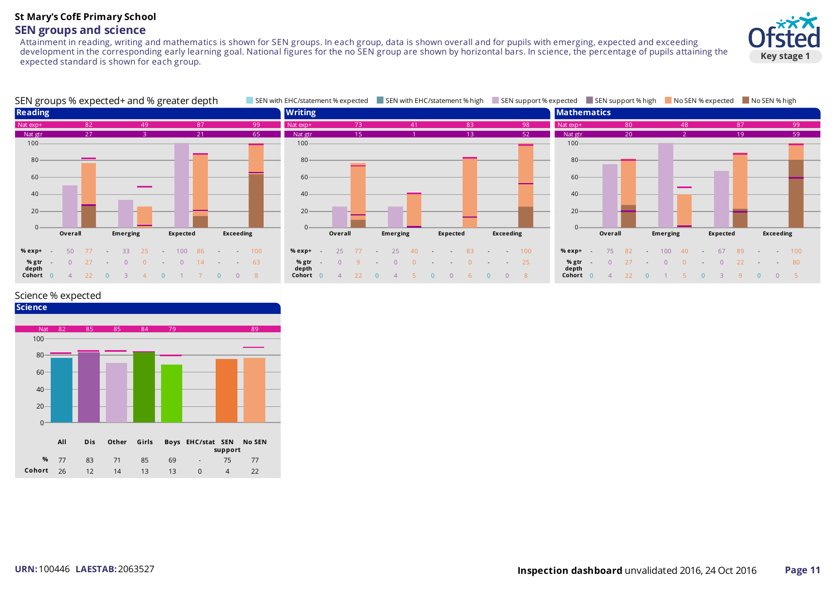#### **St Mary's CofE Primary School SEN groups and science**

Attainment in reading, writing and mathematics is shown for SEN groups. In each group, data is shown overall and for pupils with emerging, expected and exceeding development in the corresponding early learning goal. National figures for the no SEN group are shown by horizontal bars. In science, the percentage of pupils attaining the expected standard is shown for each group.





#### Science % expected

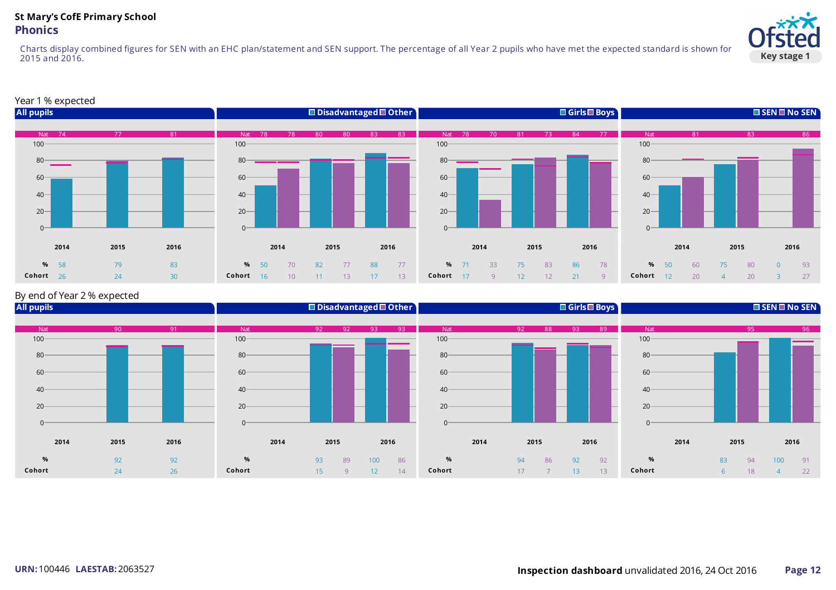## **St Mary's CofE Primary School Phonics**

Charts display combined figures for SEN with an EHC plan/statement and SEN support. The percentage of all Year 2 pupils who have met the expected standard is shown for and 2016.



#### Year 1% expected



#### By end of Year 2% expected

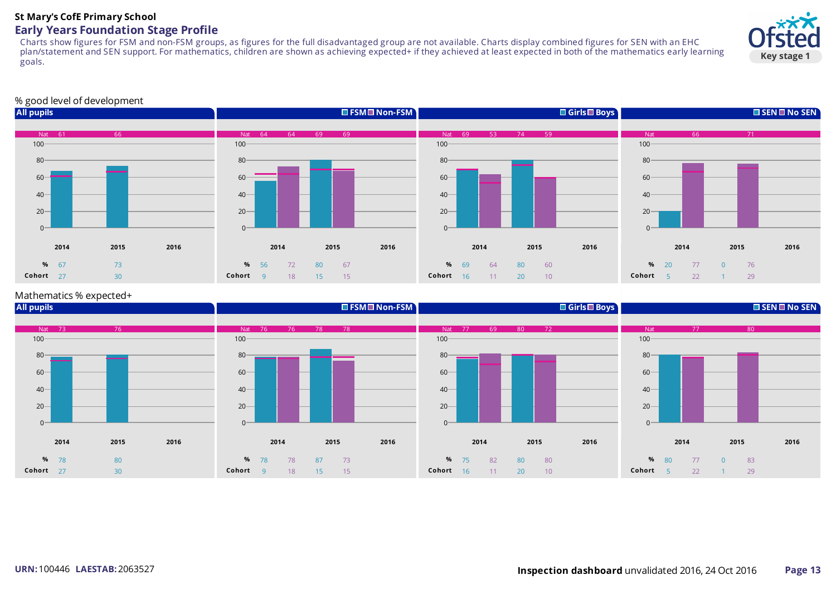#### **St Mary's CofE Primary School Early Years Foundation Stage Profile**

Charts show figures for FSM and non-FSM groups, as figures for the full disadvantaged group are not available. Charts display combined figures for SEN with an EHC plan/statement and SEN support. For mathematics, children are shown as achieving expected+ if they achieved at least expected in both of the mathematics early learning goals.



#### % good level of development



#### Mathematics % expected+

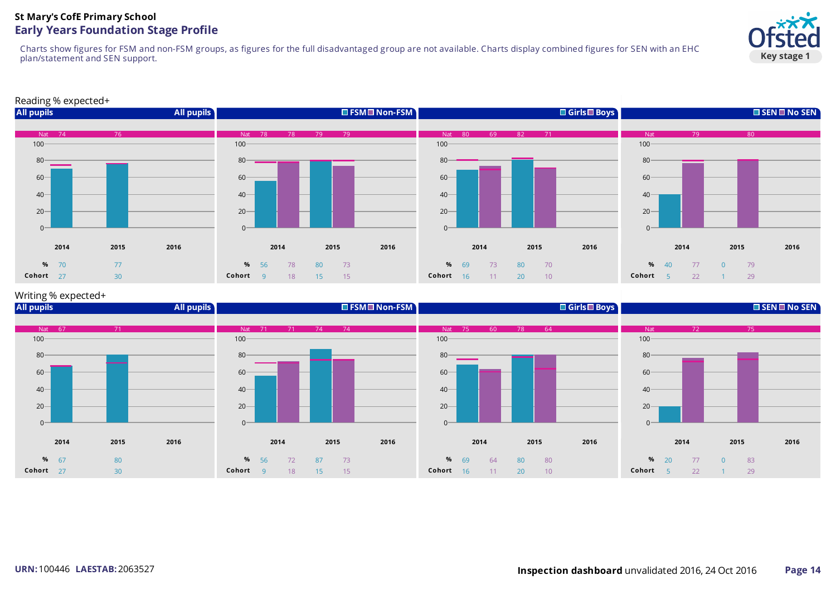## **St Mary's CofE Primary School Early Years Foundation Stage Profile**

Charts show figures for FSM and non-FSM groups, as figures for the full disadvantaged group are not available. Charts display combined figures for SEN with an EHC plan/statement and SEN support.



#### Reading % expected+



#### Writing % expected+

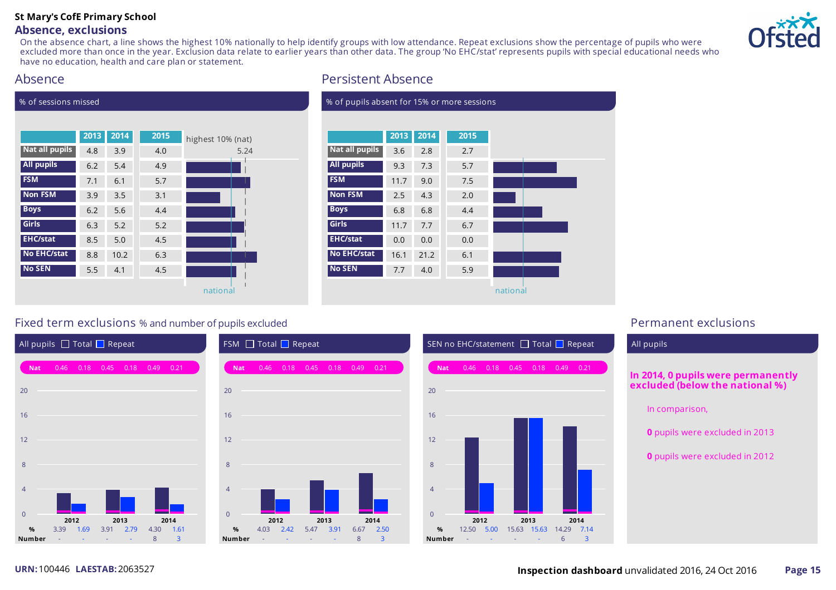# **St Mary's CofE Primary School**

### **Absence, exclusions**

On the absence chart, a line shows the highest 10% nationally to help identify groups with low attendance. Repeat exclusions show the percentage of pupils who were excluded more than once in the year. Exclusion data relate to earlier years than other data. The group 'No EHC/stat' represents pupils with special educational needs who have no education, health and care plan or statement.



## Absence

% of sessions missed

|                    | 2013 | 2014 | 2015 | highest 10% (nat) |
|--------------------|------|------|------|-------------------|
| Nat all pupils     | 4.8  | 3.9  | 4.0  | 5.24              |
| <b>All pupils</b>  | 6.2  | 5.4  | 4.9  |                   |
| <b>FSM</b>         | 7.1  | 6.1  | 5.7  |                   |
| <b>Non FSM</b>     | 3.9  | 3.5  | 3.1  |                   |
| <b>Boys</b>        | 6.2  | 5.6  | 4.4  |                   |
| <b>Girls</b>       | 6.3  | 5.2  | 5.2  |                   |
| <b>EHC/stat</b>    | 8.5  | 5.0  | 4.5  |                   |
| <b>No EHC/stat</b> | 8.8  | 10.2 | 6.3  |                   |
| <b>No SEN</b>      | 5.5  | 4.1  | 4.5  |                   |
|                    |      |      |      | national          |

# Persistent Absence

| % of pupils absent for 15% or more sessions |      |      |      |          |  |  |  |  |
|---------------------------------------------|------|------|------|----------|--|--|--|--|
|                                             |      |      |      |          |  |  |  |  |
|                                             | 2013 | 2014 | 2015 |          |  |  |  |  |
| Nat all pupils                              | 3.6  | 2.8  | 2.7  |          |  |  |  |  |
| <b>All pupils</b>                           | 9.3  | 7.3  | 5.7  |          |  |  |  |  |
| <b>FSM</b>                                  | 11.7 | 9.0  | 7.5  |          |  |  |  |  |
| <b>Non FSM</b>                              | 2.5  | 4.3  | 2.0  |          |  |  |  |  |
| <b>Boys</b>                                 | 6.8  | 6.8  | 4.4  |          |  |  |  |  |
| Girls                                       | 11.7 | 7.7  | 6.7  |          |  |  |  |  |
| <b>EHC/stat</b>                             | 0.0  | 0.0  | 0.0  |          |  |  |  |  |
| <b>No EHC/stat</b>                          | 16.1 | 21.2 | 6.1  |          |  |  |  |  |
| <b>No SEN</b>                               | 7.7  | 4.0  | 5.9  |          |  |  |  |  |
|                                             |      |      |      | national |  |  |  |  |

# Fixed term exclusions % and number of pupils excluded **Permanent exclusions** Permanent exclusions







# All pupils **In 2014, 0 pupils were permanently excluded (below the national %)** In comparison, **0** pupils were excluded in 2013 **0** pupils were excluded in 2012